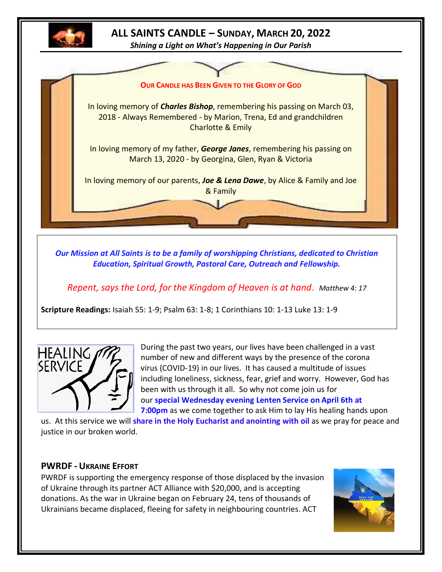

# **ALL SAINTS CANDLE – SUNDAY, MARCH 20, 2022**

*Shining a Light on What's Happening in Our Parish*



*Our Mission at All Saints is to be a family of worshipping Christians, dedicated to Christian Education, Spiritual Growth, Pastoral Care, Outreach and Fellowship.*

*Repent, says the Lord, for the Kingdom of Heaven is at hand. Matthew 4: 17*

**Scripture Readings:** Isaiah 55: 1-9; Psalm 63: 1-8; 1 Corinthians 10: 1-13 Luke 13: 1-9



During the past two years, our lives have been challenged in a vast number of new and different ways by the presence of the corona virus (COVID-19) in our lives. It has caused a multitude of issues including loneliness, sickness, fear, grief and worry. However, God has been with us through it all. So why not come join us for our **special Wednesday evening Lenten Service on April 6th at 7:00pm** as we come together to ask Him to lay His healing hands upon

us. At this service we will **share in the Holy Eucharist and anointing with oil** as we pray for peace and justice in our broken world.

#### **PWRDF - UKRAINE EFFORT**

PWRDF is supporting the emergency response of those displaced by the invasion of Ukraine through its partner ACT Alliance with \$20,000, and is accepting donations. As the war in Ukraine began on February 24, tens of thousands of Ukrainians became displaced, fleeing for safety in neighbouring countries. ACT

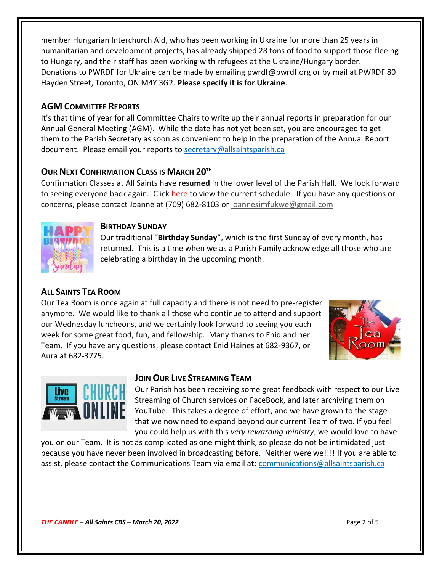member Hungarian Interchurch Aid, who has been working in Ukraine for more than 25 years in humanitarian and development projects, has already shipped 28 tons of food to support those fleeing to Hungary, and their staff has been working with refugees at the Ukraine/Hungary border. Donations to PWRDF for Ukraine can be made by emailing pwrdf@pwrdf.org or by mail at PWRDF 80 Hayden Street, Toronto, ON M4Y 3G2. **Please specify it is for Ukraine**.

## **AGM COMMITTEE REPORTS**

It's that time of year for all Committee Chairs to write up their annual reports in preparation for our Annual General Meeting (AGM). While the date has not yet been set, you are encouraged to get them to the Parish Secretary as soon as convenient to help in the preparation of the Annual Report document. Please email your reports to [secretary@allsaintsparish.ca](mailto:secretary@allsaintsparish.ca)

#### **OUR NEXT CONFIRMATION CLASS IS MARCH 20TH**

Confirmation Classes at All Saints have **resumed** in the lower level of the Parish Hall. We look forward to seeing everyone back again. Click [here](http://allsaintsparish.ca/document_library/Confirmation%20Schedule%20220227.pdf) to view the current schedule. If you have any questions or concerns, please contact Joanne at (709) 682-8103 or [joannesimfukwe@gmail.com](mailto:joannesimfukwe@gmail.com)



#### **BIRTHDAY SUNDAY**

Our traditional "**Birthday Sunday**", which is the first Sunday of every month, has returned. This is a time when we as a Parish Family acknowledge all those who are celebrating a birthday in the upcoming month.

# **ALL SAINTS TEA ROOM**

Our Tea Room is once again at full capacity and there is not need to pre-register anymore. We would like to thank all those who continue to attend and support our Wednesday luncheons, and we certainly look forward to seeing you each week for some great food, fun, and fellowship. Many thanks to Enid and her Team. If you have any questions, please contact Enid Haines at 682-9367, or Aura at 682-3775.





#### **JOIN OUR LIVE STREAMING TEAM**

Our Parish has been receiving some great feedback with respect to our Live Streaming of Church services on FaceBook, and later archiving them on YouTube. This takes a degree of effort, and we have grown to the stage that we now need to expand beyond our current Team of two. If you feel you could help us with this *very rewarding ministry*, we would love to have

you on our Team. It is not as complicated as one might think, so please do not be intimidated just because you have never been involved in broadcasting before. Neither were we!!!! If you are able to assist, please contact the Communications Team via email at: communications@allsaintsparish.ca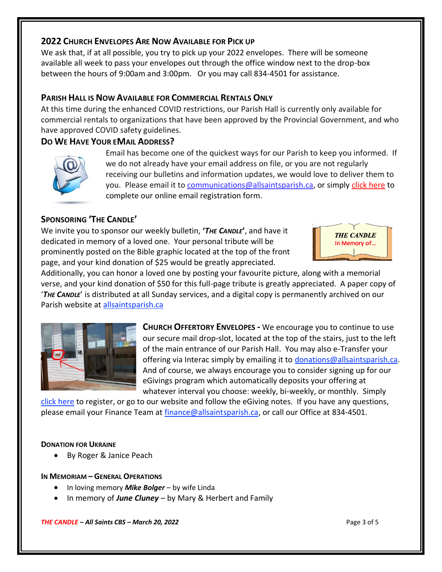#### **2022 CHURCH ENVELOPES ARE NOW AVAILABLE FOR PICK UP**

We ask that, if at all possible, you try to pick up your 2022 envelopes. There will be someone available all week to pass your envelopes out through the office window next to the drop-box between the hours of 9:00am and 3:00pm. Or you may call 834-4501 for assistance.

## **PARISH HALL IS NOW AVAILABLE FOR COMMERCIAL RENTALS ONLY**

At this time during the enhanced COVID restrictions, our Parish Hall is currently only available for commercial rentals to organizations that have been approved by the Provincial Government, and who have approved COVID safety guidelines.

# **DO WE HAVE YOUR EMAIL ADDRESS?**



Email has become one of the quickest ways for our Parish to keep you informed. If we do not already have your email address on file, or you are not regularly receiving our bulletins and information updates, we would love to deliver them to you. Please email it to [communications@allsaintsparish.ca,](mailto:communications@allsaintsparish.ca?subject=eMail%20Address%20Update) or simply [click here](http://allsaintsparish.ca/email_updates) to complete our online email registration form.

# **SPONSORING 'THE CANDLE'**

We invite you to sponsor our weekly bulletin, **'***THE CANDLE***'**, and have it dedicated in memory of a loved one. Your personal tribute will be prominently posted on the Bible graphic located at the top of the front page, and your kind donation of \$25 would be greatly appreciated.



Additionally, you can honor a loved one by posting your favourite picture, along with a memorial verse, and your kind donation of \$50 for this full-page tribute is greatly appreciated. A paper copy of '*THE CANDLE*' is distributed at all Sunday services, and a digital copy is permanently archived on our Parish website at [allsaintsparish.ca](http://allsaintsparish.ca/thecandle.html)



**CHURCH OFFERTORY ENVELOPES -** We encourage you to continue to use our secure mail drop-slot, located at the top of the stairs, just to the left of the main entrance of our Parish Hall. You may also e-Transfer your offering via Interac simply by emailing it to [donations@allsaintsparish.ca.](mailto:donations@allsaintsparish.ca) And of course, we always encourage you to consider signing up for our eGivings program which automatically deposits your offering at whatever interval you choose: weekly, bi-weekly, or monthly. Simply

[click here](http://allsaintsparish.ca/egiving-online-information-form) to register, or go to our website and follow the eGiving notes. If you have [any](https://wfsites-to.websitecreatorprotool.com/870a5dd5.com/Admin/%7BSK_NODEID__22939341__SK%7D) questions, please email your Finance Team at [finance@allsaintsparish.ca,](mailto:finance@allsaintsparish.ca) or call our Office at 834-4501.

#### **DONATION FOR UKRAINE**

• By Roger & Janice Peach

#### **IN MEMORIAM – GENERAL OPERATIONS**

- In loving memory *Mike Bolger* by wife Linda
- In memory of *June Cluney* by Mary & Herbert and Family

*THE CANDLE – All Saints CBS – March 20, 2022* Page 3 of 5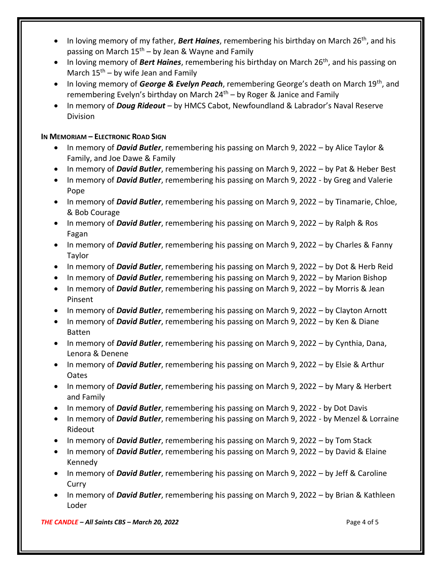- In loving memory of my father, *Bert Haines*, remembering his birthday on March 26th, and his passing on March  $15<sup>th</sup> - by$  Jean & Wayne and Family
- In loving memory of *Bert Haines*, remembering his birthday on March 26th, and his passing on March  $15<sup>th</sup>$  – by wife Jean and Family
- In loving memory of *George & Evelyn Peach*, remembering George's death on March 19th, and remembering Evelyn's birthday on March  $24<sup>th</sup>$  – by Roger & Janice and Family
- In memory of *Doug Rideout* by HMCS Cabot, Newfoundland & Labrador's Naval Reserve Division

#### **IN MEMORIAM – ELECTRONIC ROAD SIGN**

- In memory of *David Butler*, remembering his passing on March 9, 2022 by Alice Taylor & Family, and Joe Dawe & Family
- In memory of *David Butler*, remembering his passing on March 9, 2022 by Pat & Heber Best
- In memory of *David Butler*, remembering his passing on March 9, 2022 by Greg and Valerie Pope
- In memory of *David Butler*, remembering his passing on March 9, 2022 by Tinamarie, Chloe, & Bob Courage
- In memory of *David Butler*, remembering his passing on March 9, 2022 by Ralph & Ros Fagan
- In memory of *David Butler*, remembering his passing on March 9, 2022 by Charles & Fanny Taylor
- In memory of *David Butler*, remembering his passing on March 9, 2022 by Dot & Herb Reid
- In memory of *David Butler*, remembering his passing on March 9, 2022 by Marion Bishop
- In memory of *David Butler*, remembering his passing on March 9, 2022 by Morris & Jean Pinsent
- In memory of *David Butler*, remembering his passing on March 9, 2022 by Clayton Arnott
- In memory of *David Butler*, remembering his passing on March 9, 2022 by Ken & Diane Batten
- In memory of *David Butler*, remembering his passing on March 9, 2022 by Cynthia, Dana, Lenora & Denene
- In memory of *David Butler*, remembering his passing on March 9, 2022 by Elsie & Arthur Oates
- In memory of *David Butler*, remembering his passing on March 9, 2022 by Mary & Herbert and Family
- In memory of *David Butler*, remembering his passing on March 9, 2022 by Dot Davis
- In memory of *David Butler*, remembering his passing on March 9, 2022 by Menzel & Lorraine Rideout
- In memory of *David Butler*, remembering his passing on March 9, 2022 by Tom Stack
- In memory of *David Butler*, remembering his passing on March 9, 2022 by David & Elaine Kennedy
- In memory of *David Butler*, remembering his passing on March 9, 2022 by Jeff & Caroline Curry
- In memory of *David Butler*, remembering his passing on March 9, 2022 by Brian & Kathleen Loder